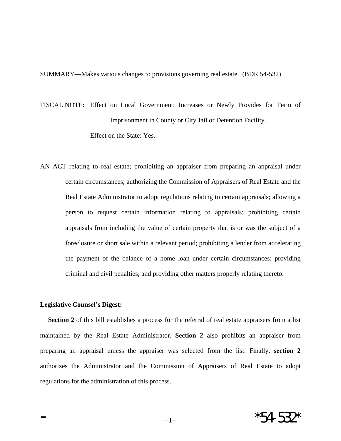SUMMARY—Makes various changes to provisions governing real estate. (BDR 54-532)

FISCAL NOTE: Effect on Local Government: Increases or Newly Provides for Term of Imprisonment in County or City Jail or Detention Facility. Effect on the State: Yes.

AN ACT relating to real estate; prohibiting an appraiser from preparing an appraisal under certain circumstances; authorizing the Commission of Appraisers of Real Estate and the Real Estate Administrator to adopt regulations relating to certain appraisals; allowing a person to request certain information relating to appraisals; prohibiting certain appraisals from including the value of certain property that is or was the subject of a foreclosure or short sale within a relevant period; prohibiting a lender from accelerating the payment of the balance of a home loan under certain circumstances; providing criminal and civil penalties; and providing other matters properly relating thereto.

## **Legislative Counsel's Digest:**

**Section 2** of this bill establishes a process for the referral of real estate appraisers from a list maintained by the Real Estate Administrator. **Section 2** also prohibits an appraiser from preparing an appraisal unless the appraiser was selected from the list. Finally, **section 2** authorizes the Administrator and the Commission of Appraisers of Real Estate to adopt regulations for the administration of this process.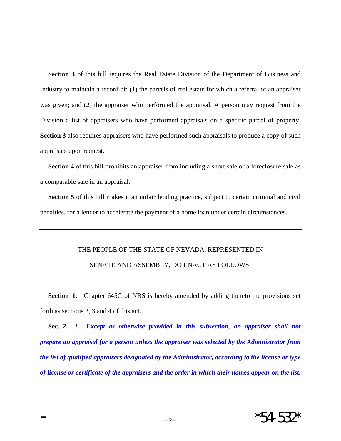**Section 3** of this bill requires the Real Estate Division of the Department of Business and Industry to maintain a record of: (1) the parcels of real estate for which a referral of an appraiser was given; and (2) the appraiser who performed the appraisal. A person may request from the Division a list of appraisers who have performed appraisals on a specific parcel of property. **Section 3** also requires appraisers who have performed such appraisals to produce a copy of such appraisals upon request.

**Section 4** of this bill prohibits an appraiser from including a short sale or a foreclosure sale as a comparable sale in an appraisal.

**Section 5** of this bill makes it an unfair lending practice, subject to certain criminal and civil penalties, for a lender to accelerate the payment of a home loan under certain circumstances.

## THE PEOPLE OF THE STATE OF NEVADA, REPRESENTED IN SENATE AND ASSEMBLY, DO ENACT AS FOLLOWS:

**Section 1.** Chapter 645C of NRS is hereby amended by adding thereto the provisions set forth as sections 2, 3 and 4 of this act.

 **Sec. 2.** *1. Except as otherwise provided in this subsection, an appraiser shall not prepare an appraisal for a person unless the appraiser was selected by the Administrator from the list of qualified appraisers designated by the Administrator, according to the license or type of license or certificate of the appraisers and the order in which their names appear on the list.*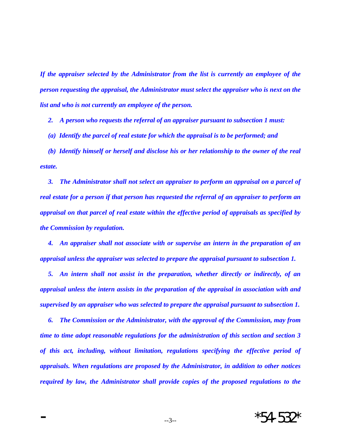*If the appraiser selected by the Administrator from the list is currently an employee of the person requesting the appraisal, the Administrator must select the appraiser who is next on the list and who is not currently an employee of the person.* 

 *2. A person who requests the referral of an appraiser pursuant to subsection 1 must:* 

 *(a) Identify the parcel of real estate for which the appraisal is to be performed; and* 

 *(b) Identify himself or herself and disclose his or her relationship to the owner of the real estate.* 

 *3. The Administrator shall not select an appraiser to perform an appraisal on a parcel of real estate for a person if that person has requested the referral of an appraiser to perform an appraisal on that parcel of real estate within the effective period of appraisals as specified by the Commission by regulation.* 

 *4. An appraiser shall not associate with or supervise an intern in the preparation of an appraisal unless the appraiser was selected to prepare the appraisal pursuant to subsection 1.* 

 *5. An intern shall not assist in the preparation, whether directly or indirectly, of an appraisal unless the intern assists in the preparation of the appraisal in association with and supervised by an appraiser who was selected to prepare the appraisal pursuant to subsection 1.* 

 *6. The Commission or the Administrator, with the approval of the Commission, may from time to time adopt reasonable regulations for the administration of this section and section 3 of this act, including, without limitation, regulations specifying the effective period of appraisals. When regulations are proposed by the Administrator, in addition to other notices required by law, the Administrator shall provide copies of the proposed regulations to the*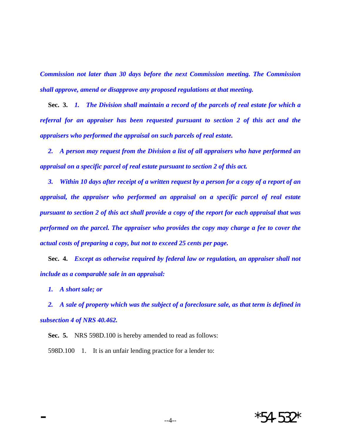*Commission not later than 30 days before the next Commission meeting. The Commission shall approve, amend or disapprove any proposed regulations at that meeting.* 

 **Sec. 3.** *1. The Division shall maintain a record of the parcels of real estate for which a referral for an appraiser has been requested pursuant to section 2 of this act and the appraisers who performed the appraisal on such parcels of real estate.* 

 *2. A person may request from the Division a list of all appraisers who have performed an appraisal on a specific parcel of real estate pursuant to section 2 of this act.* 

 *3. Within 10 days after receipt of a written request by a person for a copy of a report of an appraisal, the appraiser who performed an appraisal on a specific parcel of real estate pursuant to section 2 of this act shall provide a copy of the report for each appraisal that was performed on the parcel. The appraiser who provides the copy may charge a fee to cover the actual costs of preparing a copy, but not to exceed 25 cents per page.* 

 **Sec. 4.** *Except as otherwise required by federal law or regulation, an appraiser shall not include as a comparable sale in an appraisal:* 

 *1. A short sale; or* 

 *2. A sale of property which was the subject of a foreclosure sale, as that term is defined in subsection 4 of NRS 40.462.* 

 **Sec. 5.** NRS 598D.100 is hereby amended to read as follows: 598D.100 1. It is an unfair lending practice for a lender to: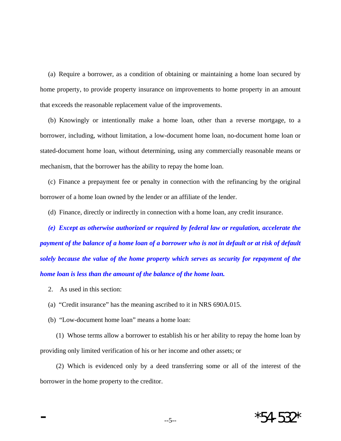(a) Require a borrower, as a condition of obtaining or maintaining a home loan secured by home property, to provide property insurance on improvements to home property in an amount that exceeds the reasonable replacement value of the improvements.

 (b) Knowingly or intentionally make a home loan, other than a reverse mortgage, to a borrower, including, without limitation, a low-document home loan, no-document home loan or stated-document home loan, without determining, using any commercially reasonable means or mechanism, that the borrower has the ability to repay the home loan.

 (c) Finance a prepayment fee or penalty in connection with the refinancing by the original borrower of a home loan owned by the lender or an affiliate of the lender.

(d) Finance, directly or indirectly in connection with a home loan, any credit insurance.

 *(e) Except as otherwise authorized or required by federal law or regulation, accelerate the payment of the balance of a home loan of a borrower who is not in default or at risk of default solely because the value of the home property which serves as security for repayment of the home loan is less than the amount of the balance of the home loan.* 

- 2. As used in this section:
- (a) "Credit insurance" has the meaning ascribed to it in NRS 690A.015.
- (b) "Low-document home loan" means a home loan:

 (1) Whose terms allow a borrower to establish his or her ability to repay the home loan by providing only limited verification of his or her income and other assets; or

 (2) Which is evidenced only by a deed transferring some or all of the interest of the borrower in the home property to the creditor.

 $*54-532$ \*